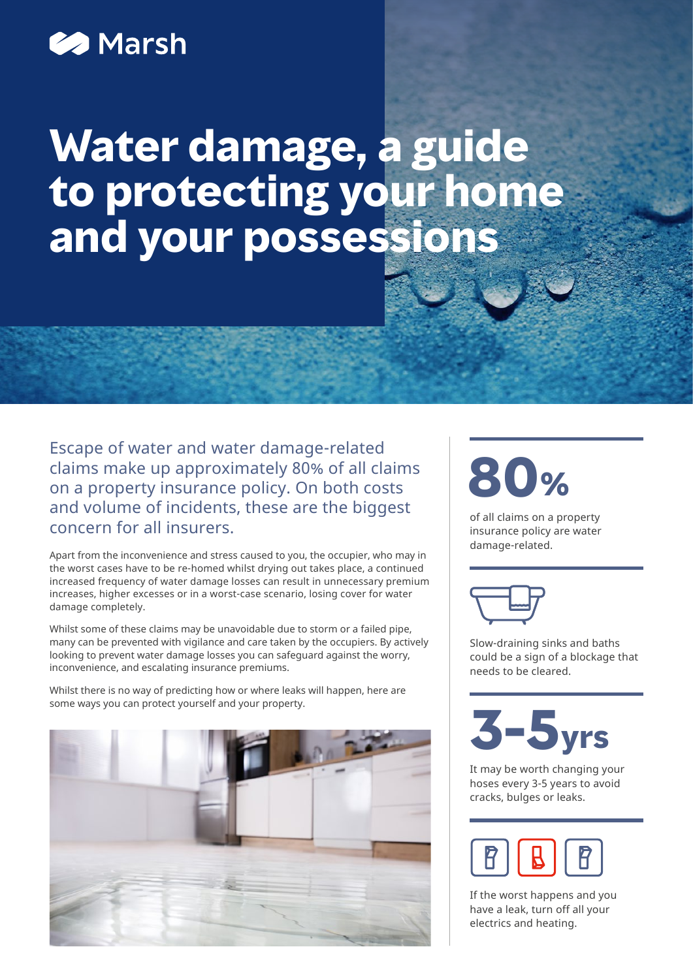# **2** Marsh

# **Water damage, a guide to protecting your home and your possessions**

Escape of water and water damage-related claims make up approximately 80% of all claims on a property insurance policy. On both costs and volume of incidents, these are the biggest concern for all insurers.

Apart from the inconvenience and stress caused to you, the occupier, who may in the worst cases have to be re-homed whilst drying out takes place, a continued increased frequency of water damage losses can result in unnecessary premium increases, higher excesses or in a worst-case scenario, losing cover for water damage completely.

Whilst some of these claims may be unavoidable due to storm or a failed pipe, many can be prevented with vigilance and care taken by the occupiers. By actively looking to prevent water damage losses you can safeguard against the worry, inconvenience, and escalating insurance premiums.

Whilst there is no way of predicting how or where leaks will happen, here are some ways you can protect yourself and your property.



# **80%**

of all claims on a property insurance policy are water damage-related.



Slow-draining sinks and baths could be a sign of a blockage that needs to be cleared.



It may be worth changing your hoses every 3-5 years to avoid cracks, bulges or leaks.



If the worst happens and you have a leak, turn off all your electrics and heating.